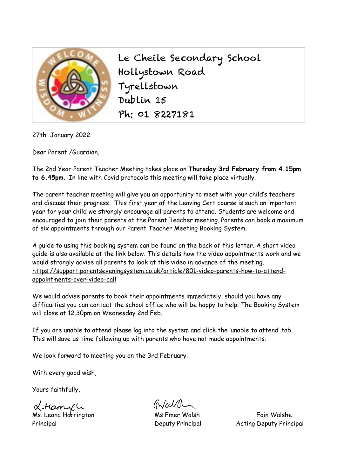

Le Cheile Secondary School Hollystown Road Tyrellstown Dublin 15 Ph: 01 8227181

27th January 2022

Dear Parent /Guardian,

The 2nd Year Parent Teacher Meeting takes place on **Thursday 3rd February from 4.15pm to 6.45pm.** In line with Covid protocols this meeting will take place virtually.

The parent teacher meeting will give you an opportunity to meet with your child's teachers and discuss their progress. This first year of the Leaving Cert course is such an important year for your child we strongly encourage all parents to attend. Students are welcome and encouraged to join their parents at the Parent Teacher meeting. Parents can book a maximum of six appointments through our Parent Teacher Meeting Booking System.

A guide to using this booking system can be found on the back of this letter. A short video guide is also available at the link below. This details how the video appointments work and we would strongly advise all parents to look at this video in advance of the meeting. [https://support.parentseveningsystem.co.uk/article/801-video-parents-how-to-attend](https://support.parentseveningsystem.co.uk/article/801-video-parents-how-to-attend-appointments-over-video-call)[appointments-over-video-call](https://support.parentseveningsystem.co.uk/article/801-video-parents-how-to-attend-appointments-over-video-call)

We would advise parents to book their appointments immediately, should you have any difficulties you can contact the school office who will be happy to help. The Booking System will close at 12.30pm on Wednesday 2nd Feb.

If you are unable to attend please log into the system and click the 'unable to attend' tab. This will save us time following up with parents who have not made appointments.

We look forward to meeting you on the 3rd February.

With every good wish,

Yours faithfully,

 $\alpha$ -Ham $\alpha$  L<br>
Ms. Leona Harrington Ms Emer Walsh Ms Eoin Walshe

 $G/dM$ 

Principal Deputy Principal Acting Deputy Principal